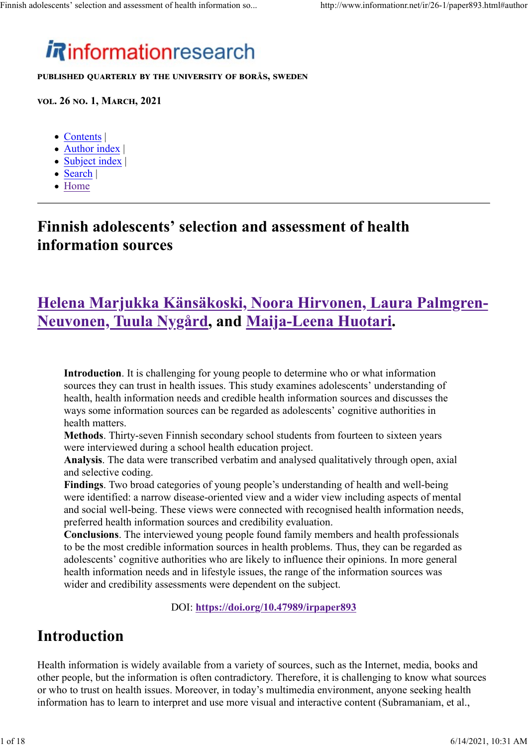# *i*Rinformationresearch

PUBLISHED QUARTERLY BY THE UNIVERSITY OF BORÅS, SWEDEN

VOL. 26 NO. 1, MARCH, 2021

- Contents |
- Author index
- Subject index |
- Search |
- Home

### Finnish adolescents' selection and assessment of health information sources

### Helena Marjukka Känsäkoski, Noora Hirvonen, Laura Palmgren-Neuvonen, Tuula Nygård, and Maija-Leena Huotari.

Introduction. It is challenging for young people to determine who or what information sources they can trust in health issues. This study examines adolescents' understanding of health, health information needs and credible health information sources and discusses the ways some information sources can be regarded as adolescents' cognitive authorities in health matters.

Methods. Thirty-seven Finnish secondary school students from fourteen to sixteen years were interviewed during a school health education project.

Analysis. The data were transcribed verbatim and analysed qualitatively through open, axial and selective coding.

Findings. Two broad categories of young people's understanding of health and well-being were identified: a narrow disease-oriented view and a wider view including aspects of mental and social well-being. These views were connected with recognised health information needs, preferred health information sources and credibility evaluation.

Conclusions. The interviewed young people found family members and health professionals to be the most credible information sources in health problems. Thus, they can be regarded as adolescents' cognitive authorities who are likely to influence their opinions. In more general health information needs and in lifestyle issues, the range of the information sources was wider and credibility assessments were dependent on the subject.

DOI: https://doi.org/10.47989/irpaper893

### Introduction

Health information is widely available from a variety of sources, such as the Internet, media, books and other people, but the information is often contradictory. Therefore, it is challenging to know what sources or who to trust on health issues. Moreover, in today's multimedia environment, anyone seeking health information has to learn to interpret and use more visual and interactive content (Subramaniam, et al.,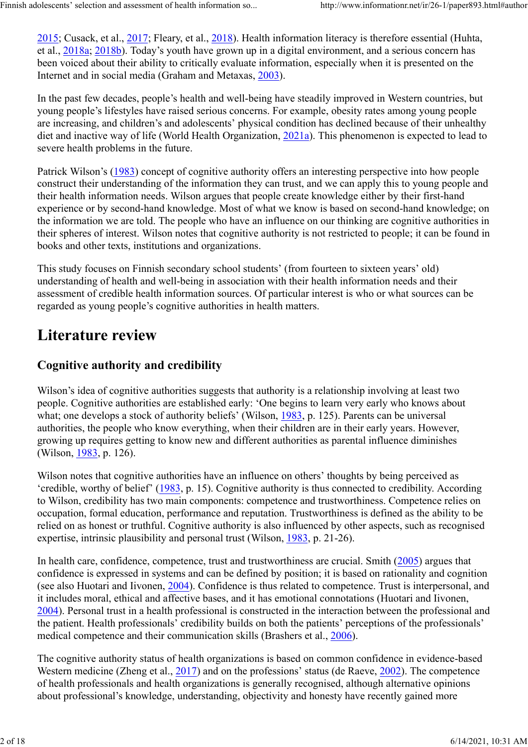2015; Cusack, et al., 2017; Fleary, et al., 2018). Health information literacy is therefore essential (Huhta, et al., 2018a; 2018b). Today's youth have grown up in a digital environment, and a serious concern has been voiced about their ability to critically evaluate information, especially when it is presented on the Internet and in social media (Graham and Metaxas, 2003).

In the past few decades, people's health and well-being have steadily improved in Western countries, but young people's lifestyles have raised serious concerns. For example, obesity rates among young people are increasing, and children's and adolescents' physical condition has declined because of their unhealthy diet and inactive way of life (World Health Organization, 2021a). This phenomenon is expected to lead to severe health problems in the future.

Patrick Wilson's (1983) concept of cognitive authority offers an interesting perspective into how people construct their understanding of the information they can trust, and we can apply this to young people and their health information needs. Wilson argues that people create knowledge either by their first-hand experience or by second-hand knowledge. Most of what we know is based on second-hand knowledge; on the information we are told. The people who have an influence on our thinking are cognitive authorities in their spheres of interest. Wilson notes that cognitive authority is not restricted to people; it can be found in books and other texts, institutions and organizations.

This study focuses on Finnish secondary school students' (from fourteen to sixteen years' old) understanding of health and well-being in association with their health information needs and their assessment of credible health information sources. Of particular interest is who or what sources can be regarded as young people's cognitive authorities in health matters.

### Literature review

### Cognitive authority and credibility

Wilson's idea of cognitive authorities suggests that authority is a relationship involving at least two people. Cognitive authorities are established early: 'One begins to learn very early who knows about what; one develops a stock of authority beliefs' (Wilson, 1983, p. 125). Parents can be universal authorities, the people who know everything, when their children are in their early years. However, growing up requires getting to know new and different authorities as parental influence diminishes (Wilson, 1983, p. 126).

Wilson notes that cognitive authorities have an influence on others' thoughts by being perceived as 'credible, worthy of belief' (1983, p. 15). Cognitive authority is thus connected to credibility. According to Wilson, credibility has two main components: competence and trustworthiness. Competence relies on occupation, formal education, performance and reputation. Trustworthiness is defined as the ability to be relied on as honest or truthful. Cognitive authority is also influenced by other aspects, such as recognised expertise, intrinsic plausibility and personal trust (Wilson, 1983, p. 21-26).

In health care, confidence, competence, trust and trustworthiness are crucial. Smith (2005) argues that confidence is expressed in systems and can be defined by position; it is based on rationality and cognition (see also Huotari and Iivonen, 2004). Confidence is thus related to competence. Trust is interpersonal, and it includes moral, ethical and affective bases, and it has emotional connotations (Huotari and Iivonen, 2004). Personal trust in a health professional is constructed in the interaction between the professional and the patient. Health professionals' credibility builds on both the patients' perceptions of the professionals' medical competence and their communication skills (Brashers et al., 2006).

The cognitive authority status of health organizations is based on common confidence in evidence-based Western medicine (Zheng et al., 2017) and on the professions' status (de Raeve, 2002). The competence of health professionals and health organizations is generally recognised, although alternative opinions about professional's knowledge, understanding, objectivity and honesty have recently gained more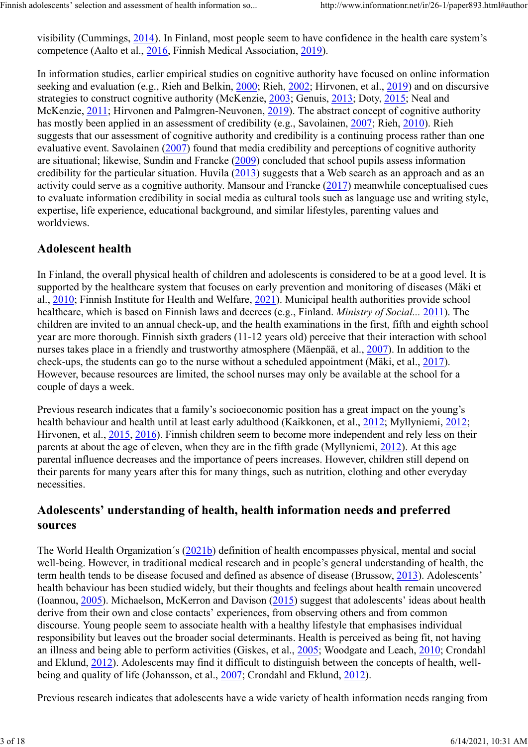visibility (Cummings, 2014). In Finland, most people seem to have confidence in the health care system's competence (Aalto et al., 2016, Finnish Medical Association, 2019).

In information studies, earlier empirical studies on cognitive authority have focused on online information seeking and evaluation (e.g., Rieh and Belkin, 2000; Rieh, 2002; Hirvonen, et al., 2019) and on discursive strategies to construct cognitive authority (McKenzie, 2003; Genuis, 2013; Doty, 2015; Neal and McKenzie, 2011; Hirvonen and Palmgren-Neuvonen, 2019). The abstract concept of cognitive authority has mostly been applied in an assessment of credibility (e.g., Savolainen, 2007; Rieh, 2010). Rieh suggests that our assessment of cognitive authority and credibility is a continuing process rather than one evaluative event. Savolainen (2007) found that media credibility and perceptions of cognitive authority are situational; likewise, Sundin and Francke (2009) concluded that school pupils assess information credibility for the particular situation. Huvila (2013) suggests that a Web search as an approach and as an activity could serve as a cognitive authority. Mansour and Francke (2017) meanwhile conceptualised cues to evaluate information credibility in social media as cultural tools such as language use and writing style, expertise, life experience, educational background, and similar lifestyles, parenting values and worldviews.

### Adolescent health

In Finland, the overall physical health of children and adolescents is considered to be at a good level. It is supported by the healthcare system that focuses on early prevention and monitoring of diseases (Mäki et al., 2010; Finnish Institute for Health and Welfare, 2021). Municipal health authorities provide school healthcare, which is based on Finnish laws and decrees (e.g., Finland. Ministry of Social... 2011). The children are invited to an annual check-up, and the health examinations in the first, fifth and eighth school year are more thorough. Finnish sixth graders (11-12 years old) perceive that their interaction with school nurses takes place in a friendly and trustworthy atmosphere (Mäenpää, et al., 2007). In addition to the check-ups, the students can go to the nurse without a scheduled appointment (Mäki, et al., 2017). However, because resources are limited, the school nurses may only be available at the school for a couple of days a week.

Previous research indicates that a family's socioeconomic position has a great impact on the young's health behaviour and health until at least early adulthood (Kaikkonen, et al., 2012; Myllyniemi, 2012; Hirvonen, et al., 2015, 2016). Finnish children seem to become more independent and rely less on their parents at about the age of eleven, when they are in the fifth grade (Myllyniemi, 2012). At this age parental influence decreases and the importance of peers increases. However, children still depend on their parents for many years after this for many things, such as nutrition, clothing and other everyday necessities.

### Adolescents' understanding of health, health information needs and preferred sources

The World Health Organization´s (2021b) definition of health encompasses physical, mental and social well-being. However, in traditional medical research and in people's general understanding of health, the term health tends to be disease focused and defined as absence of disease (Brussow, 2013). Adolescents' health behaviour has been studied widely, but their thoughts and feelings about health remain uncovered (Ioannou, 2005). Michaelson, McKerron and Davison (2015) suggest that adolescents' ideas about health derive from their own and close contacts' experiences, from observing others and from common discourse. Young people seem to associate health with a healthy lifestyle that emphasises individual responsibility but leaves out the broader social determinants. Health is perceived as being fit, not having an illness and being able to perform activities (Giskes, et al., 2005; Woodgate and Leach, 2010; Crondahl and Eklund, 2012). Adolescents may find it difficult to distinguish between the concepts of health, wellbeing and quality of life (Johansson, et al., 2007; Crondahl and Eklund, 2012).

Previous research indicates that adolescents have a wide variety of health information needs ranging from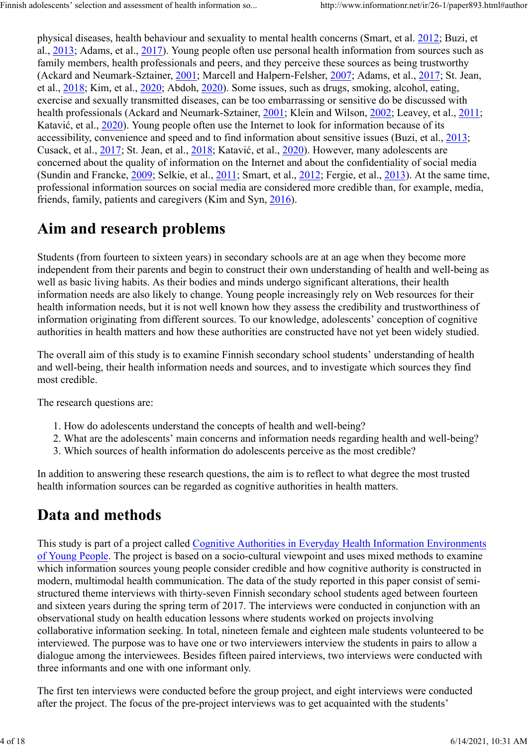physical diseases, health behaviour and sexuality to mental health concerns (Smart, et al. 2012; Buzi, et al., 2013; Adams, et al., 2017). Young people often use personal health information from sources such as family members, health professionals and peers, and they perceive these sources as being trustworthy (Ackard and Neumark-Sztainer, 2001; Marcell and Halpern-Felsher, 2007; Adams, et al., 2017; St. Jean, et al., 2018; Kim, et al., 2020; Abdoh, 2020). Some issues, such as drugs, smoking, alcohol, eating, exercise and sexually transmitted diseases, can be too embarrassing or sensitive do be discussed with health professionals (Ackard and Neumark-Sztainer, 2001; Klein and Wilson, 2002; Leavey, et al., 2011; Katavić, et al., 2020). Young people often use the Internet to look for information because of its accessibility, convenience and speed and to find information about sensitive issues (Buzi, et al., 2013; Cusack, et al., 2017; St. Jean, et al., 2018; Katavić, et al., 2020). However, many adolescents are concerned about the quality of information on the Internet and about the confidentiality of social media (Sundin and Francke, 2009; Selkie, et al., 2011; Smart, et al., 2012; Fergie, et al., 2013). At the same time, professional information sources on social media are considered more credible than, for example, media, friends, family, patients and caregivers (Kim and Syn, 2016).

### Aim and research problems

Students (from fourteen to sixteen years) in secondary schools are at an age when they become more independent from their parents and begin to construct their own understanding of health and well-being as well as basic living habits. As their bodies and minds undergo significant alterations, their health information needs are also likely to change. Young people increasingly rely on Web resources for their health information needs, but it is not well known how they assess the credibility and trustworthiness of information originating from different sources. To our knowledge, adolescents' conception of cognitive authorities in health matters and how these authorities are constructed have not yet been widely studied.

The overall aim of this study is to examine Finnish secondary school students' understanding of health and well-being, their health information needs and sources, and to investigate which sources they find most credible.

The research questions are:

- 1. How do adolescents understand the concepts of health and well-being?
- 2. What are the adolescents' main concerns and information needs regarding health and well-being?
- 3. Which sources of health information do adolescents perceive as the most credible?

In addition to answering these research questions, the aim is to reflect to what degree the most trusted health information sources can be regarded as cognitive authorities in health matters.

# Data and methods

This study is part of a project called Cognitive Authorities in Everyday Health Information Environments of Young People. The project is based on a socio-cultural viewpoint and uses mixed methods to examine which information sources young people consider credible and how cognitive authority is constructed in modern, multimodal health communication. The data of the study reported in this paper consist of semistructured theme interviews with thirty-seven Finnish secondary school students aged between fourteen and sixteen years during the spring term of 2017. The interviews were conducted in conjunction with an observational study on health education lessons where students worked on projects involving collaborative information seeking. In total, nineteen female and eighteen male students volunteered to be interviewed. The purpose was to have one or two interviewers interview the students in pairs to allow a dialogue among the interviewees. Besides fifteen paired interviews, two interviews were conducted with three informants and one with one informant only.

The first ten interviews were conducted before the group project, and eight interviews were conducted after the project. The focus of the pre-project interviews was to get acquainted with the students'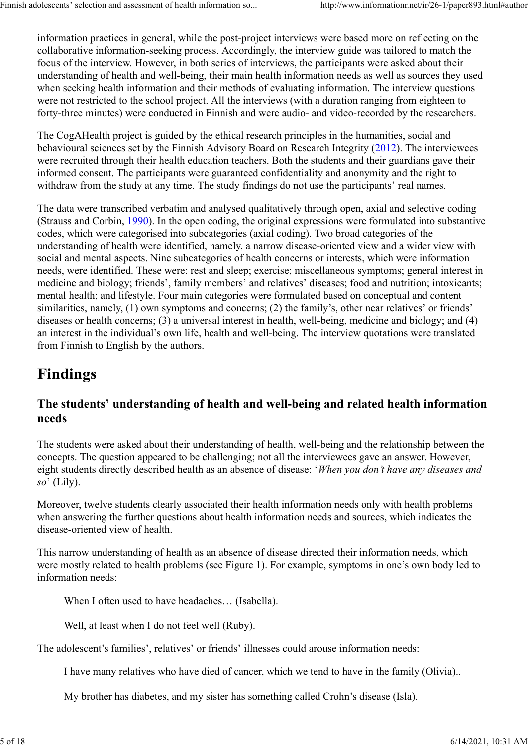information practices in general, while the post-project interviews were based more on reflecting on the collaborative information-seeking process. Accordingly, the interview guide was tailored to match the focus of the interview. However, in both series of interviews, the participants were asked about their understanding of health and well-being, their main health information needs as well as sources they used when seeking health information and their methods of evaluating information. The interview questions were not restricted to the school project. All the interviews (with a duration ranging from eighteen to forty-three minutes) were conducted in Finnish and were audio- and video-recorded by the researchers.

The CogAHealth project is guided by the ethical research principles in the humanities, social and behavioural sciences set by the Finnish Advisory Board on Research Integrity (2012). The interviewees were recruited through their health education teachers. Both the students and their guardians gave their informed consent. The participants were guaranteed confidentiality and anonymity and the right to withdraw from the study at any time. The study findings do not use the participants' real names.

The data were transcribed verbatim and analysed qualitatively through open, axial and selective coding (Strauss and Corbin, 1990). In the open coding, the original expressions were formulated into substantive codes, which were categorised into subcategories (axial coding). Two broad categories of the understanding of health were identified, namely, a narrow disease-oriented view and a wider view with social and mental aspects. Nine subcategories of health concerns or interests, which were information needs, were identified. These were: rest and sleep; exercise; miscellaneous symptoms; general interest in medicine and biology; friends', family members' and relatives' diseases; food and nutrition; intoxicants; mental health; and lifestyle. Four main categories were formulated based on conceptual and content similarities, namely, (1) own symptoms and concerns; (2) the family's, other near relatives' or friends' diseases or health concerns; (3) a universal interest in health, well-being, medicine and biology; and (4) an interest in the individual's own life, health and well-being. The interview quotations were translated from Finnish to English by the authors.

# Findings

### The students' understanding of health and well-being and related health information needs

The students were asked about their understanding of health, well-being and the relationship between the concepts. The question appeared to be challenging; not all the interviewees gave an answer. However, eight students directly described health as an absence of disease: 'When you don't have any diseases and  $so'$  (Lily).

Moreover, twelve students clearly associated their health information needs only with health problems when answering the further questions about health information needs and sources, which indicates the disease-oriented view of health.

This narrow understanding of health as an absence of disease directed their information needs, which were mostly related to health problems (see Figure 1). For example, symptoms in one's own body led to information needs:

When I often used to have headaches… (Isabella).

Well, at least when I do not feel well (Ruby).

The adolescent's families', relatives' or friends' illnesses could arouse information needs:

I have many relatives who have died of cancer, which we tend to have in the family (Olivia)..

My brother has diabetes, and my sister has something called Crohn's disease (Isla).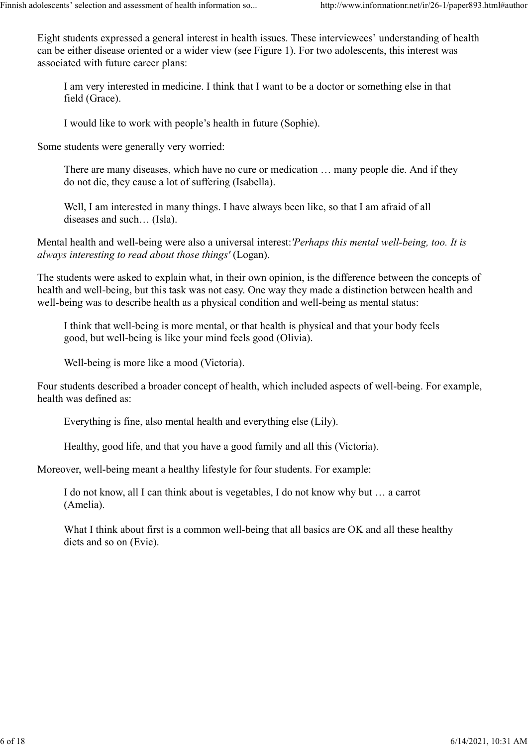Eight students expressed a general interest in health issues. These interviewees' understanding of health can be either disease oriented or a wider view (see Figure 1). For two adolescents, this interest was associated with future career plans:

I am very interested in medicine. I think that I want to be a doctor or something else in that field (Grace).

I would like to work with people's health in future (Sophie).

Some students were generally very worried:

There are many diseases, which have no cure or medication … many people die. And if they do not die, they cause a lot of suffering (Isabella).

Well, I am interested in many things. I have always been like, so that I am afraid of all diseases and such… (Isla).

Mental health and well-being were also a universal interest:'Perhaps this mental well-being, too. It is always interesting to read about those things' (Logan).

The students were asked to explain what, in their own opinion, is the difference between the concepts of health and well-being, but this task was not easy. One way they made a distinction between health and well-being was to describe health as a physical condition and well-being as mental status:

I think that well-being is more mental, or that health is physical and that your body feels good, but well-being is like your mind feels good (Olivia).

Well-being is more like a mood (Victoria).

Four students described a broader concept of health, which included aspects of well-being. For example, health was defined as:

Everything is fine, also mental health and everything else (Lily).

Healthy, good life, and that you have a good family and all this (Victoria).

Moreover, well-being meant a healthy lifestyle for four students. For example:

I do not know, all I can think about is vegetables, I do not know why but … a carrot (Amelia).

What I think about first is a common well-being that all basics are OK and all these healthy diets and so on (Evie).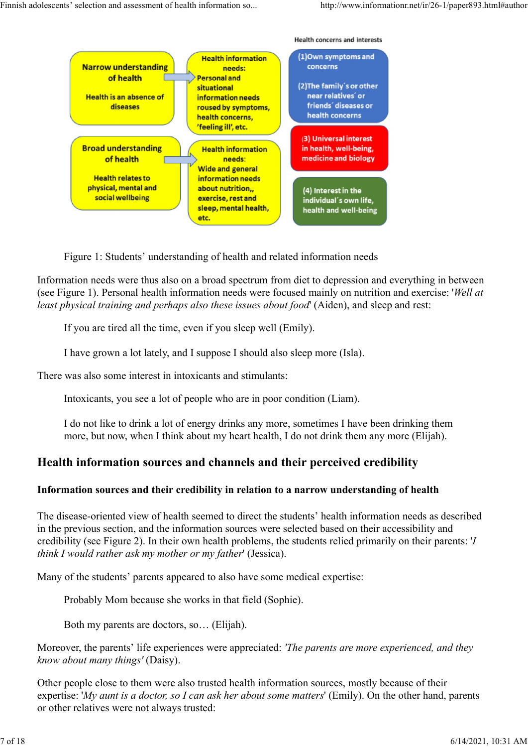**Health concerns and interests** 

(1)Own symptoms and **Health information Narrow understanding** concerns needs: of health **Personal and** (2) The family's or other situational **Health is an absence of** near relatives' or information needs friends' diseases or diseases roused by symptoms, health concerns health concerns, 'feeling ill', etc. (3) Universal interest **Broad understanding Health information** in health, well-being, of health needs: medicine and biology **Wide and general Health relates to** information needs physical, mental and about nutrition,, (4) Interest in the social wellbeing exercise, rest and individual's own life, sleep, mental health, health and well-being etc.

Figure 1: Students' understanding of health and related information needs

Information needs were thus also on a broad spectrum from diet to depression and everything in between (see Figure 1). Personal health information needs were focused mainly on nutrition and exercise: 'Well at least physical training and perhaps also these issues about food' (Aiden), and sleep and rest:

If you are tired all the time, even if you sleep well (Emily).

I have grown a lot lately, and I suppose I should also sleep more (Isla).

There was also some interest in intoxicants and stimulants:

Intoxicants, you see a lot of people who are in poor condition (Liam).

I do not like to drink a lot of energy drinks any more, sometimes I have been drinking them more, but now, when I think about my heart health, I do not drink them any more (Elijah).

#### Health information sources and channels and their perceived credibility

#### Information sources and their credibility in relation to a narrow understanding of health

The disease-oriented view of health seemed to direct the students' health information needs as described in the previous section, and the information sources were selected based on their accessibility and credibility (see Figure 2). In their own health problems, the students relied primarily on their parents: 'I think I would rather ask my mother or my father' (Jessica).

Many of the students' parents appeared to also have some medical expertise:

Probably Mom because she works in that field (Sophie).

Both my parents are doctors, so… (Elijah).

Moreover, the parents' life experiences were appreciated: 'The parents are more experienced, and they know about many things' (Daisy).

Other people close to them were also trusted health information sources, mostly because of their expertise: 'My aunt is a doctor, so I can ask her about some matters' (Emily). On the other hand, parents or other relatives were not always trusted: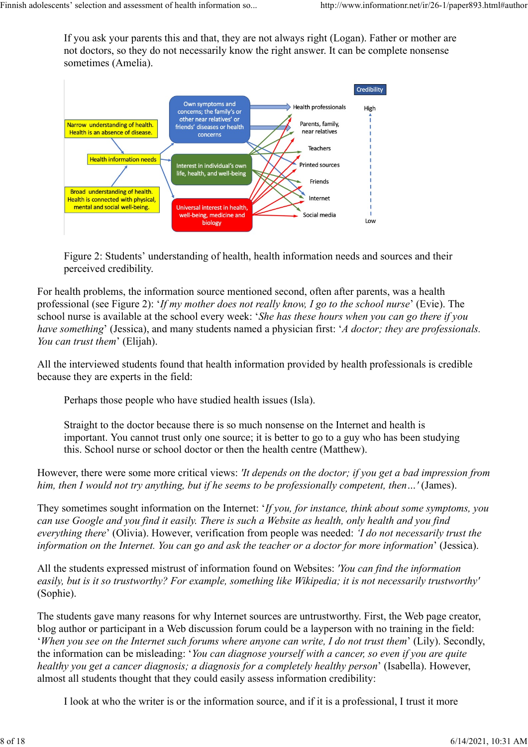If you ask your parents this and that, they are not always right (Logan). Father or mother are not doctors, so they do not necessarily know the right answer. It can be complete nonsense sometimes (Amelia).



Figure 2: Students' understanding of health, health information needs and sources and their perceived credibility.

For health problems, the information source mentioned second, often after parents, was a health professional (see Figure 2): 'If my mother does not really know, I go to the school nurse' (Evie). The school nurse is available at the school every week: 'She has these hours when you can go there if you have something' (Jessica), and many students named a physician first: 'A doctor; they are professionals. You can trust them' (Elijah).

All the interviewed students found that health information provided by health professionals is credible because they are experts in the field:

Perhaps those people who have studied health issues (Isla).

Straight to the doctor because there is so much nonsense on the Internet and health is important. You cannot trust only one source; it is better to go to a guy who has been studying this. School nurse or school doctor or then the health centre (Matthew).

However, there were some more critical views: *'It depends on the doctor*; *if you get a bad impression from* him, then I would not try anything, but if he seems to be professionally competent, then...' (James).

They sometimes sought information on the Internet: 'If you, for instance, think about some symptoms, you can use Google and you find it easily. There is such a Website as health, only health and you find everything there' (Olivia). However, verification from people was needed: 'I do not necessarily trust the information on the Internet. You can go and ask the teacher or a doctor for more information' (Jessica).

All the students expressed mistrust of information found on Websites: 'You can find the information easily, but is it so trustworthy? For example, something like Wikipedia; it is not necessarily trustworthy' (Sophie).

The students gave many reasons for why Internet sources are untrustworthy. First, the Web page creator, blog author or participant in a Web discussion forum could be a layperson with no training in the field: 'When you see on the Internet such forums where anyone can write, I do not trust them' (Lily). Secondly, the information can be misleading: 'You can diagnose yourself with a cancer, so even if you are quite healthy you get a cancer diagnosis; a diagnosis for a completely healthy person' (Isabella). However, almost all students thought that they could easily assess information credibility:

I look at who the writer is or the information source, and if it is a professional, I trust it more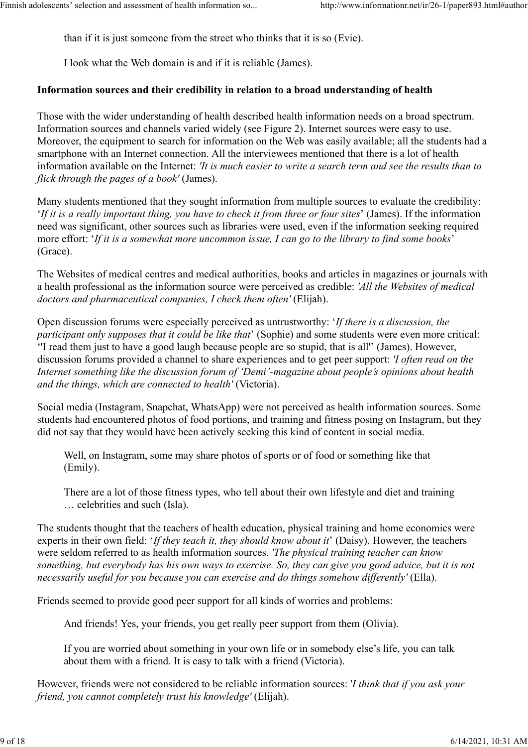than if it is just someone from the street who thinks that it is so (Evie).

I look what the Web domain is and if it is reliable (James).

#### Information sources and their credibility in relation to a broad understanding of health

Those with the wider understanding of health described health information needs on a broad spectrum. Information sources and channels varied widely (see Figure 2). Internet sources were easy to use. Moreover, the equipment to search for information on the Web was easily available; all the students had a smartphone with an Internet connection. All the interviewees mentioned that there is a lot of health information available on the Internet: 'It is much easier to write a search term and see the results than to flick through the pages of a book' (James).

Many students mentioned that they sought information from multiple sources to evaluate the credibility: 'If it is a really important thing, you have to check it from three or four sites' (James). If the information need was significant, other sources such as libraries were used, even if the information seeking required more effort: 'If it is a somewhat more uncommon issue, I can go to the library to find some books' (Grace).

The Websites of medical centres and medical authorities, books and articles in magazines or journals with a health professional as the information source were perceived as credible: 'All the Websites of medical doctors and pharmaceutical companies, I check them often' (Elijah).

Open discussion forums were especially perceived as untrustworthy: 'If there is a discussion, the participant only supposes that it could be like that' (Sophie) and some students were even more critical: ''I read them just to have a good laugh because people are so stupid, that is all'' (James). However, discussion forums provided a channel to share experiences and to get peer support: 'I often read on the Internet something like the discussion forum of 'Demi'-magazine about people's opinions about health and the things, which are connected to health' (Victoria).

Social media (Instagram, Snapchat, WhatsApp) were not perceived as health information sources. Some students had encountered photos of food portions, and training and fitness posing on Instagram, but they did not say that they would have been actively seeking this kind of content in social media.

Well, on Instagram, some may share photos of sports or of food or something like that (Emily).

There are a lot of those fitness types, who tell about their own lifestyle and diet and training … celebrities and such (Isla).

The students thought that the teachers of health education, physical training and home economics were experts in their own field: '*If they teach it, they should know about it'* (Daisy). However, the teachers were seldom referred to as health information sources. 'The physical training teacher can know something, but everybody has his own ways to exercise. So, they can give you good advice, but it is not necessarily useful for you because you can exercise and do things somehow differently' (Ella).

Friends seemed to provide good peer support for all kinds of worries and problems:

And friends! Yes, your friends, you get really peer support from them (Olivia).

If you are worried about something in your own life or in somebody else's life, you can talk about them with a friend. It is easy to talk with a friend (Victoria).

However, friends were not considered to be reliable information sources: 'I think that if you ask your friend, you cannot completely trust his knowledge' (Elijah).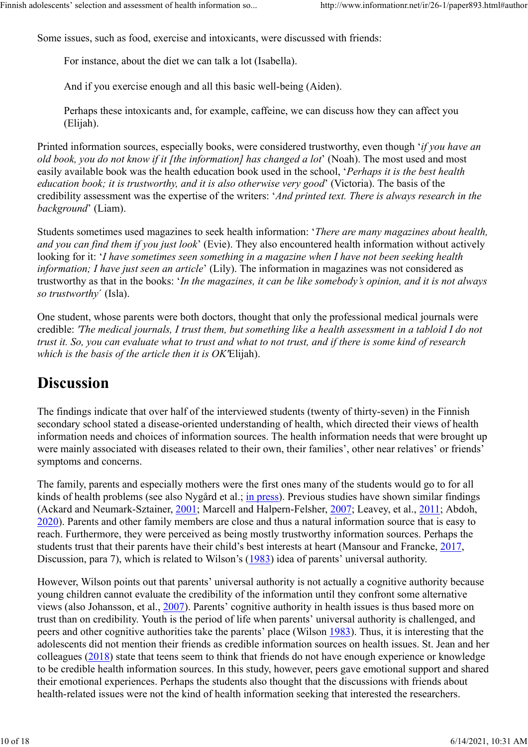Some issues, such as food, exercise and intoxicants, were discussed with friends:

For instance, about the diet we can talk a lot (Isabella).

And if you exercise enough and all this basic well-being (Aiden).

Perhaps these intoxicants and, for example, caffeine, we can discuss how they can affect you (Elijah).

Printed information sources, especially books, were considered trustworthy, even though 'if you have an old book, you do not know if it [the information] has changed a lot' (Noah). The most used and most easily available book was the health education book used in the school, 'Perhaps it is the best health education book; it is trustworthy, and it is also otherwise very good' (Victoria). The basis of the credibility assessment was the expertise of the writers: 'And printed text. There is always research in the background' (Liam).

Students sometimes used magazines to seek health information: 'There are many magazines about health, and you can find them if you just look' (Evie). They also encountered health information without actively looking for it: '*I have sometimes seen something in a magazine when I have not been seeking health* information; I have just seen an article' (Lily). The information in magazines was not considered as trustworthy as that in the books: 'In the magazines, it can be like somebody's opinion, and it is not always so trustworthy' (Isla).

One student, whose parents were both doctors, thought that only the professional medical journals were credible: 'The medical journals, I trust them, but something like a health assessment in a tabloid I do not trust it. So, you can evaluate what to trust and what to not trust, and if there is some kind of research which is the basis of the article then it is OK'Elijah).

### **Discussion**

The findings indicate that over half of the interviewed students (twenty of thirty-seven) in the Finnish secondary school stated a disease-oriented understanding of health, which directed their views of health information needs and choices of information sources. The health information needs that were brought up were mainly associated with diseases related to their own, their families', other near relatives' or friends' symptoms and concerns.

The family, parents and especially mothers were the first ones many of the students would go to for all kinds of health problems (see also Nygård et al.; in press). Previous studies have shown similar findings (Ackard and Neumark-Sztainer, 2001; Marcell and Halpern-Felsher, 2007; Leavey, et al., 2011; Abdoh, 2020). Parents and other family members are close and thus a natural information source that is easy to reach. Furthermore, they were perceived as being mostly trustworthy information sources. Perhaps the students trust that their parents have their child's best interests at heart (Mansour and Francke, 2017, Discussion, para 7), which is related to Wilson's (1983) idea of parents' universal authority.

However, Wilson points out that parents' universal authority is not actually a cognitive authority because young children cannot evaluate the credibility of the information until they confront some alternative views (also Johansson, et al., 2007). Parents' cognitive authority in health issues is thus based more on trust than on credibility. Youth is the period of life when parents' universal authority is challenged, and peers and other cognitive authorities take the parents' place (Wilson 1983). Thus, it is interesting that the adolescents did not mention their friends as credible information sources on health issues. St. Jean and her colleagues (2018) state that teens seem to think that friends do not have enough experience or knowledge to be credible health information sources. In this study, however, peers gave emotional support and shared their emotional experiences. Perhaps the students also thought that the discussions with friends about health-related issues were not the kind of health information seeking that interested the researchers.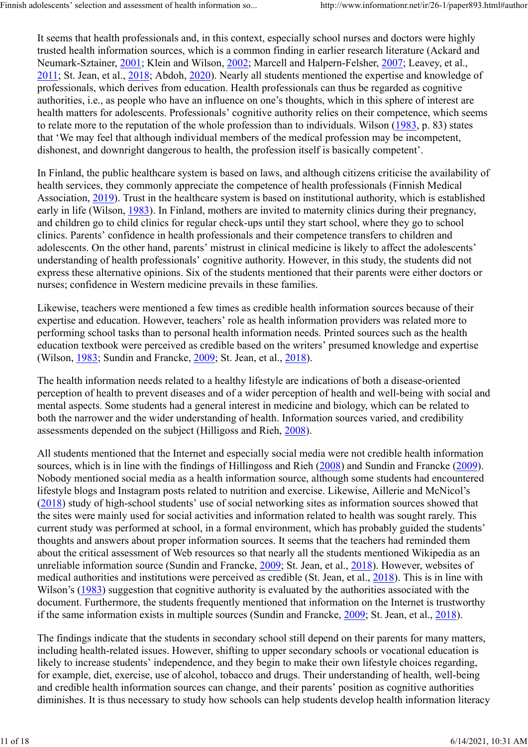It seems that health professionals and, in this context, especially school nurses and doctors were highly trusted health information sources, which is a common finding in earlier research literature (Ackard and Neumark-Sztainer, 2001; Klein and Wilson, 2002; Marcell and Halpern-Felsher, 2007; Leavey, et al., 2011; St. Jean, et al., 2018; Abdoh, 2020). Nearly all students mentioned the expertise and knowledge of professionals, which derives from education. Health professionals can thus be regarded as cognitive authorities, i.e., as people who have an influence on one's thoughts, which in this sphere of interest are health matters for adolescents. Professionals' cognitive authority relies on their competence, which seems to relate more to the reputation of the whole profession than to individuals. Wilson (1983, p. 83) states that 'We may feel that although individual members of the medical profession may be incompetent, dishonest, and downright dangerous to health, the profession itself is basically competent'.

In Finland, the public healthcare system is based on laws, and although citizens criticise the availability of health services, they commonly appreciate the competence of health professionals (Finnish Medical Association, 2019). Trust in the healthcare system is based on institutional authority, which is established early in life (Wilson, 1983). In Finland, mothers are invited to maternity clinics during their pregnancy, and children go to child clinics for regular check-ups until they start school, where they go to school clinics. Parents' confidence in health professionals and their competence transfers to children and adolescents. On the other hand, parents' mistrust in clinical medicine is likely to affect the adolescents' understanding of health professionals' cognitive authority. However, in this study, the students did not express these alternative opinions. Six of the students mentioned that their parents were either doctors or nurses; confidence in Western medicine prevails in these families.

Likewise, teachers were mentioned a few times as credible health information sources because of their expertise and education. However, teachers' role as health information providers was related more to performing school tasks than to personal health information needs. Printed sources such as the health education textbook were perceived as credible based on the writers' presumed knowledge and expertise (Wilson, 1983; Sundin and Francke, 2009; St. Jean, et al., 2018).

The health information needs related to a healthy lifestyle are indications of both a disease-oriented perception of health to prevent diseases and of a wider perception of health and well-being with social and mental aspects. Some students had a general interest in medicine and biology, which can be related to both the narrower and the wider understanding of health. Information sources varied, and credibility assessments depended on the subject (Hilligoss and Rieh, 2008).

All students mentioned that the Internet and especially social media were not credible health information sources, which is in line with the findings of Hillingoss and Rieh (2008) and Sundin and Francke (2009). Nobody mentioned social media as a health information source, although some students had encountered lifestyle blogs and Instagram posts related to nutrition and exercise. Likewise, Aillerie and McNicol's (2018) study of high-school students' use of social networking sites as information sources showed that the sites were mainly used for social activities and information related to health was sought rarely. This current study was performed at school, in a formal environment, which has probably guided the students' thoughts and answers about proper information sources. It seems that the teachers had reminded them about the critical assessment of Web resources so that nearly all the students mentioned Wikipedia as an unreliable information source (Sundin and Francke, 2009; St. Jean, et al., 2018). However, websites of medical authorities and institutions were perceived as credible (St. Jean, et al., 2018). This is in line with Wilson's (1983) suggestion that cognitive authority is evaluated by the authorities associated with the document. Furthermore, the students frequently mentioned that information on the Internet is trustworthy if the same information exists in multiple sources (Sundin and Francke, 2009; St. Jean, et al., 2018).

The findings indicate that the students in secondary school still depend on their parents for many matters, including health-related issues. However, shifting to upper secondary schools or vocational education is likely to increase students' independence, and they begin to make their own lifestyle choices regarding, for example, diet, exercise, use of alcohol, tobacco and drugs. Their understanding of health, well-being and credible health information sources can change, and their parents' position as cognitive authorities diminishes. It is thus necessary to study how schools can help students develop health information literacy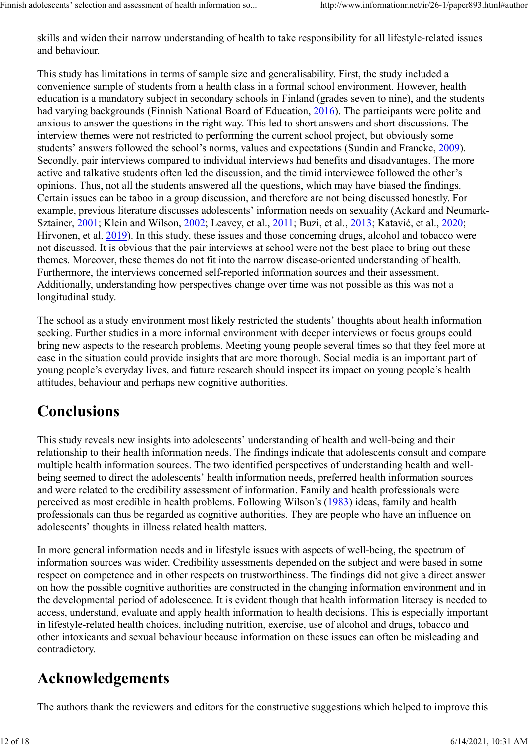skills and widen their narrow understanding of health to take responsibility for all lifestyle-related issues and behaviour.

This study has limitations in terms of sample size and generalisability. First, the study included a convenience sample of students from a health class in a formal school environment. However, health education is a mandatory subject in secondary schools in Finland (grades seven to nine), and the students had varying backgrounds (Finnish National Board of Education, 2016). The participants were polite and anxious to answer the questions in the right way. This led to short answers and short discussions. The interview themes were not restricted to performing the current school project, but obviously some students' answers followed the school's norms, values and expectations (Sundin and Francke, 2009). Secondly, pair interviews compared to individual interviews had benefits and disadvantages. The more active and talkative students often led the discussion, and the timid interviewee followed the other's opinions. Thus, not all the students answered all the questions, which may have biased the findings. Certain issues can be taboo in a group discussion, and therefore are not being discussed honestly. For example, previous literature discusses adolescents' information needs on sexuality (Ackard and Neumark-Sztainer, 2001; Klein and Wilson, 2002; Leavey, et al., 2011; Buzi, et al., 2013; Katavić, et al., 2020; Hirvonen, et al. 2019). In this study, these issues and those concerning drugs, alcohol and tobacco were not discussed. It is obvious that the pair interviews at school were not the best place to bring out these themes. Moreover, these themes do not fit into the narrow disease-oriented understanding of health. Furthermore, the interviews concerned self-reported information sources and their assessment. Additionally, understanding how perspectives change over time was not possible as this was not a longitudinal study.

The school as a study environment most likely restricted the students' thoughts about health information seeking. Further studies in a more informal environment with deeper interviews or focus groups could bring new aspects to the research problems. Meeting young people several times so that they feel more at ease in the situation could provide insights that are more thorough. Social media is an important part of young people's everyday lives, and future research should inspect its impact on young people's health attitudes, behaviour and perhaps new cognitive authorities.

### Conclusions

This study reveals new insights into adolescents' understanding of health and well-being and their relationship to their health information needs. The findings indicate that adolescents consult and compare multiple health information sources. The two identified perspectives of understanding health and wellbeing seemed to direct the adolescents' health information needs, preferred health information sources and were related to the credibility assessment of information. Family and health professionals were perceived as most credible in health problems. Following Wilson's (1983) ideas, family and health professionals can thus be regarded as cognitive authorities. They are people who have an influence on adolescents' thoughts in illness related health matters.

In more general information needs and in lifestyle issues with aspects of well-being, the spectrum of information sources was wider. Credibility assessments depended on the subject and were based in some respect on competence and in other respects on trustworthiness. The findings did not give a direct answer on how the possible cognitive authorities are constructed in the changing information environment and in the developmental period of adolescence. It is evident though that health information literacy is needed to access, understand, evaluate and apply health information to health decisions. This is especially important in lifestyle-related health choices, including nutrition, exercise, use of alcohol and drugs, tobacco and other intoxicants and sexual behaviour because information on these issues can often be misleading and contradictory.

# Acknowledgements

The authors thank the reviewers and editors for the constructive suggestions which helped to improve this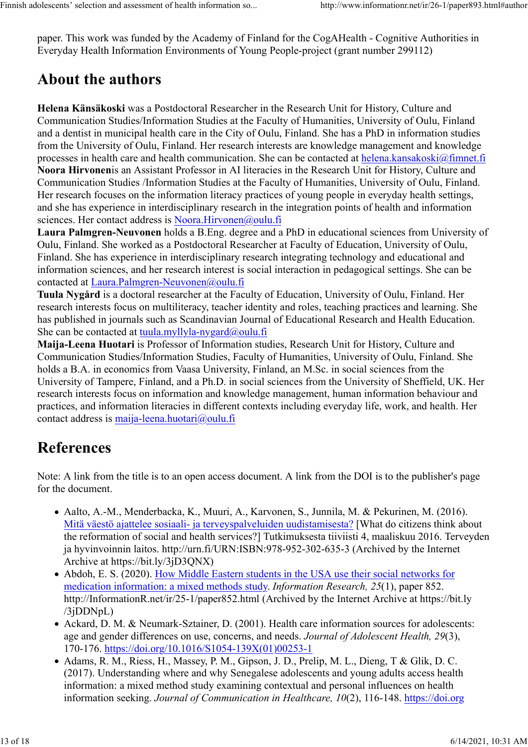paper. This work was funded by the Academy of Finland for the CogAHealth - Cognitive Authorities in Everyday Health Information Environments of Young People-project (grant number 299112)

### About the authors

Helena Känsäkoski was a Postdoctoral Researcher in the Research Unit for History, Culture and Communication Studies/Information Studies at the Faculty of Humanities, University of Oulu, Finland and a dentist in municipal health care in the City of Oulu, Finland. She has a PhD in information studies from the University of Oulu, Finland. Her research interests are knowledge management and knowledge processes in health care and health communication. She can be contacted at helena.kansakoski@fimnet.fi Noora Hirvonenis an Assistant Professor in AI literacies in the Research Unit for History, Culture and Communication Studies /Information Studies at the Faculty of Humanities, University of Oulu, Finland. Her research focuses on the information literacy practices of young people in everyday health settings, and she has experience in interdisciplinary research in the integration points of health and information sciences. Her contact address is Noora.Hirvonen@oulu.fi

Laura Palmgren-Neuvonen holds a B.Eng. degree and a PhD in educational sciences from University of Oulu, Finland. She worked as a Postdoctoral Researcher at Faculty of Education, University of Oulu, Finland. She has experience in interdisciplinary research integrating technology and educational and information sciences, and her research interest is social interaction in pedagogical settings. She can be contacted at Laura.Palmgren-Neuvonen@oulu.fi

Tuula Nygård is a doctoral researcher at the Faculty of Education, University of Oulu, Finland. Her research interests focus on multiliteracy, teacher identity and roles, teaching practices and learning. She has published in journals such as Scandinavian Journal of Educational Research and Health Education. She can be contacted at tuula.myllyla-nygard@oulu.fi

Maija-Leena Huotari is Professor of Information studies, Research Unit for History, Culture and Communication Studies/Information Studies, Faculty of Humanities, University of Oulu, Finland. She holds a B.A. in economics from Vaasa University, Finland, an M.Sc. in social sciences from the University of Tampere, Finland, and a Ph.D. in social sciences from the University of Sheffield, UK. Her research interests focus on information and knowledge management, human information behaviour and practices, and information literacies in different contexts including everyday life, work, and health. Her contact address is maija-leena.huotari@oulu.fi

# References

Note: A link from the title is to an open access document. A link from the DOI is to the publisher's page for the document.

- Aalto, A.-M., Menderbacka, K., Muuri, A., Karvonen, S., Junnila, M. & Pekurinen, M. (2016). Mitä väestö ajattelee sosiaali- ja terveyspalveluiden uudistamisesta? [What do citizens think about the reformation of social and health services?] Tutkimuksesta tiiviisti 4, maaliskuu 2016. Terveyden ja hyvinvoinnin laitos. http://urn.fi/URN:ISBN:978-952-302-635-3 (Archived by the Internet Archive at https://bit.ly/3jD3QNX)
- Abdoh, E. S. (2020). How Middle Eastern students in the USA use their social networks for medication information: a mixed methods study. Information Research, 25(1), paper 852. http://InformationR.net/ir/25-1/paper852.html (Archived by the Internet Archive at https://bit.ly /3jDDNpL)
- Ackard, D. M. & Neumark-Sztainer, D. (2001). Health care information sources for adolescents: age and gender differences on use, concerns, and needs. Journal of Adolescent Health, 29(3), 170-176. https://doi.org/10.1016/S1054-139X(01)00253-1
- Adams, R. M., Riess, H., Massey, P. M., Gipson, J. D., Prelip, M. L., Dieng, T & Glik, D. C. (2017). Understanding where and why Senegalese adolescents and young adults access health information: a mixed method study examining contextual and personal influences on health information seeking. Journal of Communication in Healthcare, 10(2), 116-148. https://doi.org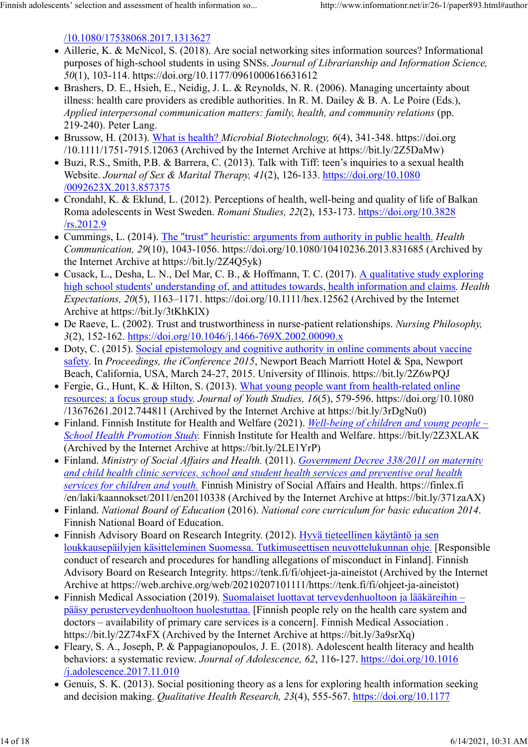/10.1080/17538068.2017.1313627

- Aillerie, K. & McNicol, S. (2018). Are social networking sites information sources? Informational purposes of high-school students in using SNSs. Journal of Librarianship and Information Science, 50(1), 103-114. https://doi.org/10.1177/0961000616631612
- Brashers, D. E., Hsieh, E., Neidig, J. L. & Reynolds, N. R. (2006). Managing uncertainty about illness: health care providers as credible authorities. In R. M. Dailey & B. A. Le Poire (Eds.), Applied interpersonal communication matters: family, health, and community relations (pp. 219-240). Peter Lang.
- Brussow, H. (2013). What is health? Microbial Biotechnology, 6(4), 341-348. https://doi.org /10.1111/1751-7915.12063 (Archived by the Internet Archive at https://bit.ly/2Z5DaMw)
- Buzi, R.S., Smith, P.B. & Barrera, C. (2013). Talk with Tiff: teen's inquiries to a sexual health Website. Journal of Sex & Marital Therapy, 41(2), 126-133. https://doi.org/10.1080 /0092623X.2013.857375
- Crondahl, K. & Eklund, L. (2012). Perceptions of health, well-being and quality of life of Balkan Roma adolescents in West Sweden. Romani Studies, 22(2), 153-173. https://doi.org/10.3828 /rs.2012.9
- Cummings, L. (2014). The "trust" heuristic: arguments from authority in public health. *Health* Communication, 29(10), 1043-1056. https://doi.org/10.1080/10410236.2013.831685 (Archived by the Internet Archive at https://bit.ly/2Z4Q5yk)
- Cusack, L., Desha, L. N., Del Mar, C. B., & Hoffmann, T. C. (2017). A qualitative study exploring high school students' understanding of, and attitudes towards, health information and claims. Health Expectations,  $20(5)$ ,  $1163-1171$ . https://doi.org/10.1111/hex.12562 (Archived by the Internet Archive at https://bit.ly/3tKhKlX)
- De Raeve, L. (2002). Trust and trustworthiness in nurse-patient relationships. Nursing Philosophy, 3(2), 152-162. https://doi.org/10.1046/j.1466-769X.2002.00090.x
- Doty, C. (2015). Social epistemology and cognitive authority in online comments about vaccine safety. In Proceedings, the iConference 2015, Newport Beach Marriott Hotel & Spa, Newport Beach, California, USA, March 24-27, 2015. University of Illinois. https://bit.ly/2Z6wPQJ
- Fergie, G., Hunt, K. & Hilton, S. (2013). What young people want from health-related online resources: a focus group study. Journal of Youth Studies, 16(5), 579-596. https://doi.org/10.1080 /13676261.2012.744811 (Archived by the Internet Archive at https://bit.ly/3rDgNu0)
- Finland. Finnish Institute for Health and Welfare (2021). Well-being of children and young people School Health Promotion Study. Finnish Institute for Health and Welfare. https://bit.ly/2Z3XLAK (Archived by the Internet Archive at https://bit.ly/2LE1YrP)
- Finland. Ministry of Social Affairs and Health. (2011). Government Decree 338/2011 on maternity and child health clinic services, school and student health services and preventive oral health services for children and youth. Finnish Ministry of Social Affairs and Health. https://finlex.fi /en/laki/kaannokset/2011/en20110338 (Archived by the Internet Archive at https://bit.ly/371zaAX)
- Finland. National Board of Education (2016). National core curriculum for basic education 2014. Finnish National Board of Education.
- Finnish Advisory Board on Research Integrity. (2012). Hyvä tieteellinen käytäntö ja sen loukkausepäilyjen käsitteleminen Suomessa. Tutkimuseettisen neuvottelukunnan ohje. [Responsible conduct of research and procedures for handling allegations of misconduct in Finland]. Finnish Advisory Board on Research Integrity. https://tenk.fi/fi/ohjeet-ja-aineistot (Archived by the Internet Archive at https://web.archive.org/web/20210207101111/https://tenk.fi/fi/ohjeet-ja-aineistot)
- Finnish Medical Association (2019). Suomalaiset luottavat terveydenhuoltoon ja lääkäreihin pääsy perusterveydenhuoltoon huolestuttaa. [Finnish people rely on the health care system and doctors – availability of primary care services is a concern]. Finnish Medical Association . https://bit.ly/2Z74xFX (Archived by the Internet Archive at https://bit.ly/3a9srXq)
- Fleary, S. A., Joseph, P. & Pappagianopoulos, J. E. (2018). Adolescent health literacy and health behaviors: a systematic review. Journal of Adolescence, 62, 116-127. https://doi.org/10.1016 /j.adolescence.2017.11.010
- Genuis, S. K. (2013). Social positioning theory as a lens for exploring health information seeking and decision making. Qualitative Health Research, 23(4), 555-567. https://doi.org/10.1177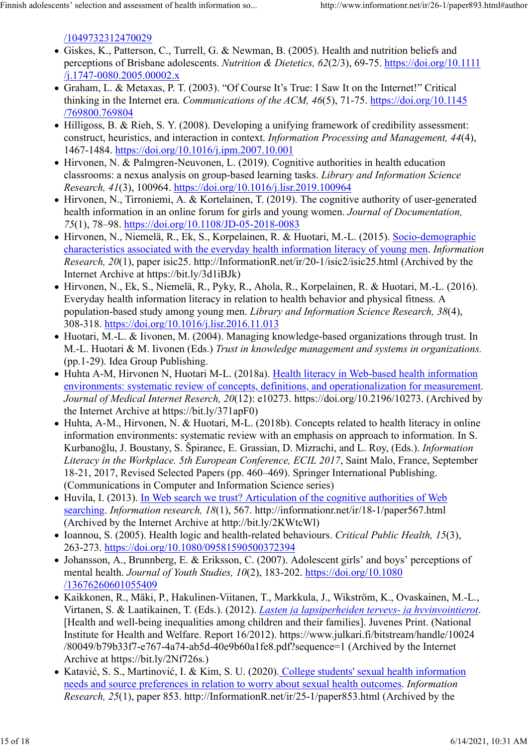/1049732312470029

- Giskes, K., Patterson, C., Turrell, G. & Newman, B. (2005). Health and nutrition beliefs and perceptions of Brisbane adolescents. Nutrition & Dietetics, 62(2/3), 69-75. https://doi.org/10.1111 /j.1747-0080.2005.00002.x
- Graham, L. & Metaxas, P. T. (2003). "Of Course It's True: I Saw It on the Internet!" Critical thinking in the Internet era. Communications of the ACM, 46(5), 71-75. https://doi.org/10.1145 /769800.769804
- Hilligoss, B. & Rieh, S. Y. (2008). Developing a unifying framework of credibility assessment: construct, heuristics, and interaction in context. Information Processing and Management, 44(4), 1467-1484. https://doi.org/10.1016/j.ipm.2007.10.001
- Hirvonen, N. & Palmgren-Neuvonen, L. (2019). Cognitive authorities in health education classrooms: a nexus analysis on group-based learning tasks. Library and Information Science Research, 41(3), 100964. https://doi.org/10.1016/j.lisr.2019.100964
- Hirvonen, N., Tirroniemi, A. & Kortelainen, T. (2019). The cognitive authority of user-generated health information in an online forum for girls and young women. Journal of Documentation, 75(1), 78–98. https://doi.org/10.1108/JD-05-2018-0083
- Hirvonen, N., Niemelä, R., Ek, S., Korpelainen, R. & Huotari, M.-L. (2015). Socio-demographic characteristics associated with the everyday health information literacy of young men. Information Research, 20(1), paper isic25. http://InformationR.net/ir/20-1/isic2/isic25.html (Archived by the Internet Archive at https://bit.ly/3d1iBJk)
- Hirvonen, N., Ek, S., Niemelä, R., Pyky, R., Ahola, R., Korpelainen, R. & Huotari, M.-L. (2016). Everyday health information literacy in relation to health behavior and physical fitness. A population-based study among young men. Library and Information Science Research, 38(4), 308-318. https://doi.org/10.1016/j.lisr.2016.11.013
- Huotari, M.-L. & Iivonen, M. (2004). Managing knowledge-based organizations through trust. In M.-L. Huotari & M. Iivonen (Eds.) Trust in knowledge management and systems in organizations. (pp.1-29). Idea Group Publishing.
- Huhta A-M, Hirvonen N, Huotari M-L. (2018a). Health literacy in Web-based health information environments: systematic review of concepts, definitions, and operationalization for measurement. Journal of Medical Internet Reserch, 20(12): e10273. https://doi.org/10.2196/10273. (Archived by the Internet Archive at https://bit.ly/371apF0)
- Huhta, A-M., Hirvonen, N. & Huotari, M-L. (2018b). Concepts related to health literacy in online information environments: systematic review with an emphasis on approach to information. In S. Kurbanoğlu, J. Boustany, S. Špiranec, E. Grassian, D. Mizrachi, and L. Roy, (Eds.). Information Literacy in the Workplace. 5th European Conference, ECIL 2017, Saint Malo, France, September 18-21, 2017, Revised Selected Papers (pp. 460–469). Springer International Publishing. (Communications in Computer and Information Science series)
- Huvila, I. (2013). In Web search we trust? Articulation of the cognitive authorities of Web  $\bullet$ searching. Information research, 18(1), 567. http://informationr.net/ir/18-1/paper567.html (Archived by the Internet Archive at http://bit.ly/2KWtcWl)
- Ioannou, S. (2005). Health logic and health-related behaviours. Critical Public Health, 15(3), 263-273. https://doi.org/10.1080/09581590500372394
- Johansson, A., Brunnberg, E. & Eriksson, C. (2007). Adolescent girls' and boys' perceptions of mental health. Journal of Youth Studies, 10(2), 183-202. https://doi.org/10.1080 /13676260601055409
- Kaikkonen, R., Mäki, P., Hakulinen-Viitanen, T., Markkula, J., Wikström, K., Ovaskainen, M.-L., Virtanen, S. & Laatikainen, T. (Eds.). (2012). Lasten ja lapsiperheiden terveys- ja hyvinvointierot. [Health and well-being inequalities among children and their families]. Juvenes Print. (National Institute for Health and Welfare. Report 16/2012). https://www.julkari.fi/bitstream/handle/10024 /80049/b79b33f7-e767-4a74-ab5d-40e9b60a1fe8.pdf?sequence=1 (Archived by the Internet Archive at https://bit.ly/2Nf726s.)
- Katavić, S. S., Martinović, I. & Kim, S. U. (2020). College students' sexual health information needs and source preferences in relation to worry about sexual health outcomes. Information Research, 25(1), paper 853. http://InformationR.net/ir/25-1/paper853.html (Archived by the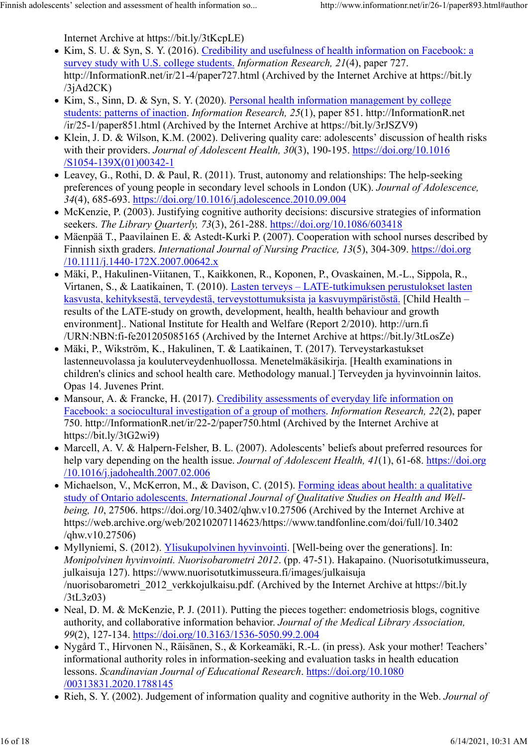Internet Archive at https://bit.ly/3tKcpLE)

- Kim, S. U. & Syn, S. Y. (2016). Credibility and usefulness of health information on Facebook: a survey study with U.S. college students. Information Research, 21(4), paper 727. http://InformationR.net/ir/21-4/paper727.html (Archived by the Internet Archive at https://bit.ly  $/3$ j $Ad2CK$ )
- Kim, S., Sinn, D. & Syn, S. Y. (2020). Personal health information management by college students: patterns of inaction. Information Research, 25(1), paper 851. http://InformationR.net /ir/25-1/paper851.html (Archived by the Internet Archive at https://bit.ly/3rJSZV9)
- Klein, J. D. & Wilson, K.M. (2002). Delivering quality care: adolescents' discussion of health risks with their providers. Journal of Adolescent Health, 30(3), 190-195. https://doi.org/10.1016 /S1054-139X(01)00342-1
- Leavey, G., Rothi, D. & Paul, R. (2011). Trust, autonomy and relationships: The help-seeking preferences of young people in secondary level schools in London (UK). Journal of Adolescence, 34(4), 685-693. https://doi.org/10.1016/j.adolescence.2010.09.004
- McKenzie, P. (2003). Justifying cognitive authority decisions: discursive strategies of information seekers. The Library Quarterly, 73(3), 261-288. https://doi.org/10.1086/603418
- Mäenpää T., Paavilainen E. & Astedt-Kurki P. (2007). Cooperation with school nurses described by Finnish sixth graders. International Journal of Nursing Practice, 13(5), 304-309. https://doi.org /10.1111/j.1440-172X.2007.00642.x
- Mäki, P., Hakulinen-Viitanen, T., Kaikkonen, R., Koponen, P., Ovaskainen, M.-L., Sippola, R., Virtanen, S., & Laatikainen, T. (2010). Lasten terveys – LATE-tutkimuksen perustulokset lasten kasvusta, kehityksestä, terveydestä, terveystottumuksista ja kasvuympäristöstä. [Child Health – results of the LATE-study on growth, development, health, health behaviour and growth environment].. National Institute for Health and Welfare (Report 2/2010). http://urn.fi /URN:NBN:fi-fe201205085165 (Archived by the Internet Archive at https://bit.ly/3tLosZe)
- Mäki, P., Wikström, K., Hakulinen, T. & Laatikainen, T. (2017). Terveystarkastukset lastenneuvolassa ja kouluterveydenhuollossa. Menetelmäkäsikirja. [Health examinations in children's clinics and school health care. Methodology manual.] Terveyden ja hyvinvoinnin laitos. Opas 14. Juvenes Print.
- Mansour, A. & Francke, H. (2017). Credibility assessments of everyday life information on Facebook: a sociocultural investigation of a group of mothers. Information Research, 22(2), paper 750. http://InformationR.net/ir/22-2/paper750.html (Archived by the Internet Archive at https://bit.ly/3tG2wi9)
- Marcell, A. V. & Halpern-Felsher, B. L. (2007). Adolescents' beliefs about preferred resources for help vary depending on the health issue. *Journal of Adolescent Health*, 41(1), 61-68. https://doi.org /10.1016/j.jadohealth.2007.02.006
- Michaelson, V., McKerron, M., & Davison, C. (2015). Forming ideas about health: a qualitative study of Ontario adolescents. International Journal of Qualitative Studies on Health and Wellbeing, 10, 27506. https://doi.org/10.3402/qhw.v10.27506 (Archived by the Internet Archive at https://web.archive.org/web/20210207114623/https://www.tandfonline.com/doi/full/10.3402 /qhw.v10.27506)
- Myllyniemi, S. (2012). Ylisukupolvinen hyvinvointi. [Well-being over the generations]. In: Monipolvinen hyvinvointi. Nuorisobarometri 2012. (pp. 47-51). Hakapaino. (Nuorisotutkimusseura, julkaisuja 127). https://www.nuorisotutkimusseura.fi/images/julkaisuja /nuorisobarometri\_2012\_verkkojulkaisu.pdf. (Archived by the Internet Archive at https://bit.ly /3tL3z03)
- Neal, D. M. & McKenzie, P. J. (2011). Putting the pieces together: endometriosis blogs, cognitive authority, and collaborative information behavior. Journal of the Medical Library Association, 99(2), 127-134. https://doi.org/10.3163/1536-5050.99.2.004
- Nygård T., Hirvonen N., Räisänen, S., & Korkeamäki, R.-L. (in press). Ask your mother! Teachers' informational authority roles in information-seeking and evaluation tasks in health education lessons. Scandinavian Journal of Educational Research. https://doi.org/10.1080 /00313831.2020.1788145
- Rieh, S. Y. (2002). Judgement of information quality and cognitive authority in the Web. *Journal of*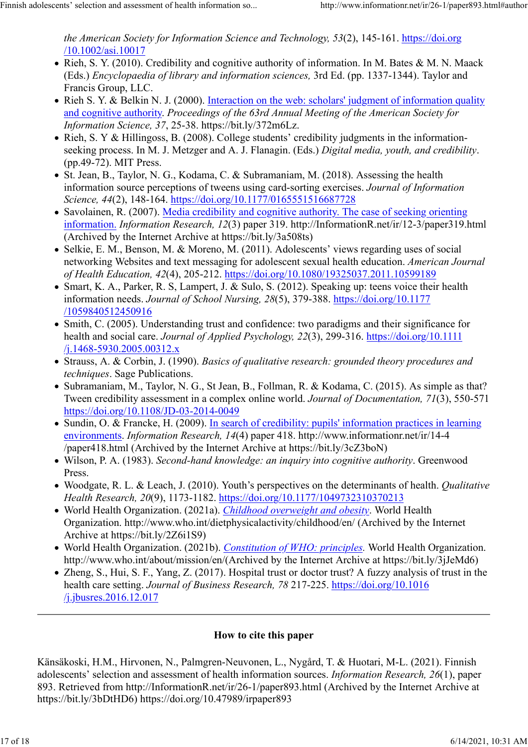the American Society for Information Science and Technology, 53(2), 145-161. https://doi.org /10.1002/asi.10017

- Rieh, S. Y. (2010). Credibility and cognitive authority of information. In M. Bates & M. N. Maack (Eds.) Encyclopaedia of library and information sciences, 3rd Ed. (pp. 1337-1344). Taylor and Francis Group, LLC.
- Rieh S. Y. & Belkin N. J. (2000). Interaction on the web: scholars' judgment of information quality and cognitive authority. Proceedings of the 63rd Annual Meeting of the American Society for Information Science, 37, 25-38. https://bit.ly/372m6Lz.
- Rieh, S. Y & Hillingoss, B. (2008). College students' credibility judgments in the informationseeking process. In M. J. Metzger and A. J. Flanagin. (Eds.) Digital media, youth, and credibility. (pp.49-72). MIT Press.
- St. Jean, B., Taylor, N. G., Kodama, C. & Subramaniam, M. (2018). Assessing the health information source perceptions of tweens using card-sorting exercises. Journal of Information Science, 44(2), 148-164. https://doi.org/10.1177/0165551516687728
- Savolainen, R. (2007). Media credibility and cognitive authority. The case of seeking orienting information. Information Research, 12(3) paper 319. http://InformationR.net/ir/12-3/paper319.html (Archived by the Internet Archive at https://bit.ly/3a508ts)
- Selkie, E. M., Benson, M. & Moreno, M. (2011). Adolescents' views regarding uses of social networking Websites and text messaging for adolescent sexual health education. American Journal of Health Education, 42(4), 205-212. https://doi.org/10.1080/19325037.2011.10599189
- Smart, K. A., Parker, R. S, Lampert, J. & Sulo, S. (2012). Speaking up: teens voice their health information needs. Journal of School Nursing, 28(5), 379-388. https://doi.org/10.1177 /1059840512450916
- Smith, C. (2005). Understanding trust and confidence: two paradigms and their significance for health and social care. *Journal of Applied Psychology, 22(3)*, 299-316. https://doi.org/10.1111 /j.1468-5930.2005.00312.x
- Strauss, A. & Corbin, J. (1990). Basics of qualitative research: grounded theory procedures and techniques. Sage Publications.
- Subramaniam, M., Taylor, N. G., St Jean, B., Follman, R. & Kodama, C. (2015). As simple as that? Tween credibility assessment in a complex online world. Journal of Documentation, 71(3), 550-571 https://doi.org/10.1108/JD-03-2014-0049
- Sundin, O. & Francke, H. (2009). In search of credibility: pupils' information practices in learning environments. Information Research, 14(4) paper 418. http://www.informationr.net/ir/14-4 /paper418.html (Archived by the Internet Archive at https://bit.ly/3cZ3boN)
- Wilson, P. A. (1983). Second-hand knowledge: an inquiry into cognitive authority. Greenwood Press.
- Woodgate, R. L. & Leach, J. (2010). Youth's perspectives on the determinants of health. *Qualitative* Health Research, 20(9), 1173-1182. https://doi.org/10.1177/1049732310370213
- World Health Organization. (2021a). *Childhood overweight and obesity*. World Health Organization. http://www.who.int/dietphysicalactivity/childhood/en/ (Archived by the Internet Archive at https://bit.ly/2Z6i1S9)
- World Health Organization. (2021b). Constitution of WHO: principles. World Health Organization. http://www.who.int/about/mission/en/(Archived by the Internet Archive at https://bit.ly/3jJeMd6)
- Zheng, S., Hui, S. F., Yang, Z. (2017). Hospital trust or doctor trust? A fuzzy analysis of trust in the health care setting. Journal of Business Research, 78 217-225. https://doi.org/10.1016 /j.jbusres.2016.12.017

#### How to cite this paper

Känsäkoski, H.M., Hirvonen, N., Palmgren-Neuvonen, L., Nygård, T. & Huotari, M-L. (2021). Finnish adolescents' selection and assessment of health information sources. Information Research, 26(1), paper 893. Retrieved from http://InformationR.net/ir/26-1/paper893.html (Archived by the Internet Archive at https://bit.ly/3bDtHD6) https://doi.org/10.47989/irpaper893